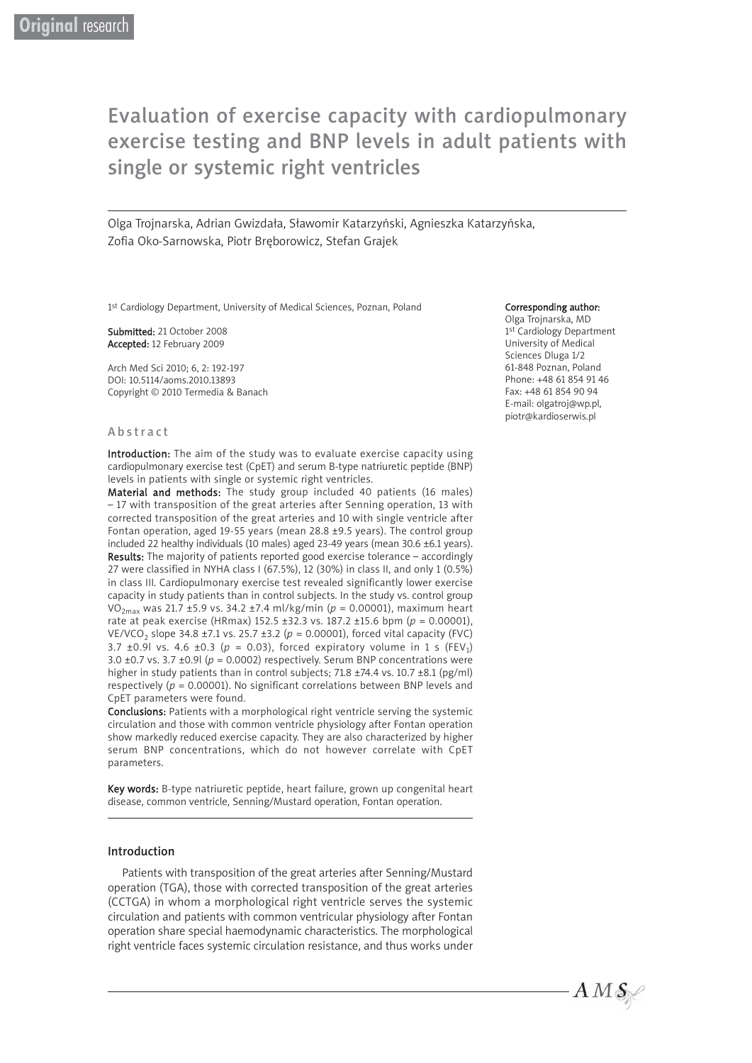# Evaluation of exercise capacity with cardiopulmonary exercise testing and BNP levels in adult patients with single or systemic right ventricles

Olga Trojnarska, Adrian Gwizdała, Sławomir Katarzyński, Agnieszka Katarzyńska, Zofia Oko-Sarnowska, Piotr Bręborowicz, Stefan Grajek

1st Cardiology Department, University of Medical Sciences, Poznan, Poland

Submitted: 21 October 2008 Accepted: 12 February 2009

Arch Med Sci 2010; 6, 2: 192-197 DOI: 10.5114/aoms.2010.13893 Copyright © 2010 Termedia & Banach

#### Corresponding author:

Olga Trojnarska, MD 1st Cardiology Department University of Medical Sciences Dluga 1/2 61-848 Poznan, Poland Phone: +48 61 854 91 46 Fax: +48 61 854 90 94 E-mail: olgatroj@wp.pl, piotr@kardioserwis.pl

#### Abstract

Introduction: The aim of the study was to evaluate exercise capacity using cardiopulmonary exercise test (CpET) and serum B-type natriuretic peptide (BNP) levels in patients with single or systemic right ventricles.

Material and methods: The study group included 40 patients (16 males) – 17 with transposition of the great arteries after Senning operation, 13 with corrected transposition of the great arteries and 10 with single ventricle after Fontan operation, aged 19-55 years (mean 28.8 ±9.5 years). The control group included 22 healthy individuals (10 males) aged 23-49 years (mean 30.6 ±6.1 years). Results: The majority of patients reported good exercise tolerance - accordingly 27 were classified in NYHA class I (67.5%), 12 (30%) in class II, and only 1 (0.5%) in class III. Cardiopulmonary exercise test revealed significantly lower exercise capacity in study patients than in control subjects. In the study vs. control group VO2max was 21.7 ±5.9 vs. 34.2 ±7.4 ml/kg/min (*p* = 0.00001), maximum heart rate at peak exercise (HRmax) 152.5 ±32.3 vs. 187.2 ±15.6 bpm (*p* = 0.00001), VE/VCO<sub>2</sub> slope 34.8 ±7.1 vs. 25.7 ±3.2 ( $p = 0.00001$ ), forced vital capacity (FVC) 3.7 ±0.9l vs. 4.6 ±0.3 ( $p = 0.03$ ), forced expiratory volume in 1 s (FEV<sub>1</sub>) 3.0  $\pm$ 0.7 vs. 3.7  $\pm$ 0.9l ( $p = 0.0002$ ) respectively. Serum BNP concentrations were higher in study patients than in control subjects; 71.8 ±74.4 vs. 10.7 ±8.1 (pg/ml) respectively (*p* = 0.00001). No significant correlations between BNP levels and CpET parameters were found.

Conclusions: Patients with a morphological right ventricle serving the systemic circulation and those with common ventricle physiology after Fontan operation show markedly reduced exercise capacity. They are also characterized by higher serum BNP concentrations, which do not however correlate with CpET parameters.

Key words: B-type natriuretic peptide, heart failure, grown up congenital heart disease, common ventricle, Senning/Mustard operation, Fontan operation.

## Introduction

Patients with transposition of the great arteries after Senning/Mustard operation (TGA), those with corrected transposition of the great arteries (CCTGA) in whom a morphological right ventricle serves the systemic circulation and patients with common ventricular physiology after Fontan operation share special haemodynamic characteristics. The morphological right ventricle faces systemic circulation resistance, and thus works under

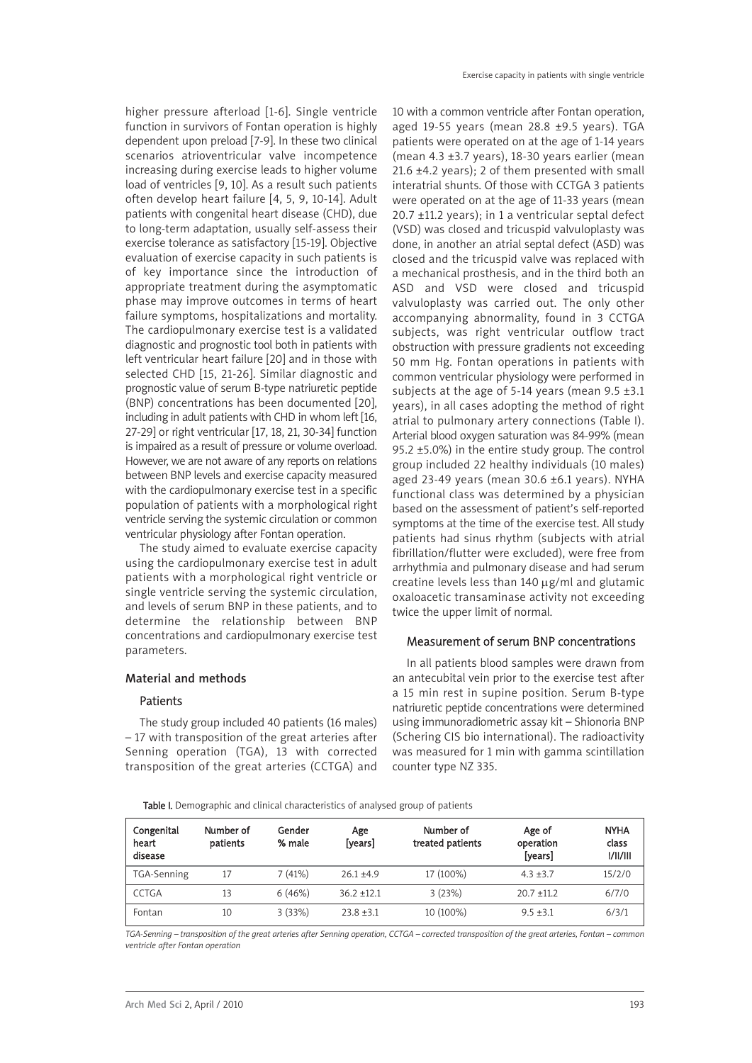higher pressure afterload [1-6]. Single ventricle function in survivors of Fontan operation is highly dependent upon preload [7-9]. In these two clinical scenarios atrioventricular valve incompetence increasing during exercise leads to higher volume load of ventricles [9, 10]. As a result such patients often develop heart failure [4, 5, 9, 10-14]. Adult patients with congenital heart disease (CHD), due to long-term adaptation, usually self-assess their exercise tolerance as satisfactory [15-19]. Objective evaluation of exercise capacity in such patients is of key importance since the introduction of appropriate treatment during the asymptomatic phase may improve outcomes in terms of heart failure symptoms, hospitalizations and mortality. The cardiopulmonary exercise test is a validated diagnostic and prognostic tool both in patients with left ventricular heart failure [20] and in those with selected CHD [15, 21-26]. Similar diagnostic and prognostic value of serum B-type natriuretic peptide (BNP) concentrations has been documented [20], including in adult patients with CHD in whom left [16, 27-29] or right ventricular [17, 18, 21, 30-34] function is impaired as a result of pressure or volume overload. However, we are not aware of any reports on relations between BNP levels and exercise capacity measured with the cardiopulmonary exercise test in a specific population of patients with a morphological right ventricle serving the systemic circulation or common ventricular physiology after Fontan operation.

The study aimed to evaluate exercise capacity using the cardiopulmonary exercise test in adult patients with a morphological right ventricle or single ventricle serving the systemic circulation, and levels of serum BNP in these patients, and to determine the relationship between BNP concentrations and cardiopulmonary exercise test parameters.

# Material and methods

## Patients

The study group included 40 patients (16 males) – 17 with transposition of the great arteries after Senning operation (TGA), 13 with corrected transposition of the great arteries (CCTGA) and 10 with a common ventricle after Fontan operation, aged 19-55 years (mean 28.8 ±9.5 years). TGA patients were operated on at the age of 1-14 years (mean 4.3 ±3.7 years), 18-30 years earlier (mean 21.6 ±4.2 years); 2 of them presented with small interatrial shunts. Of those with CCTGA 3 patients were operated on at the age of 11-33 years (mean 20.7 ±11.2 years); in 1 a ventricular septal defect (VSD) was closed and tricuspid valvuloplasty was done, in another an atrial septal defect (ASD) was closed and the tricuspid valve was replaced with a mechanical prosthesis, and in the third both an ASD and VSD were closed and tricuspid valvuloplasty was carried out. The only other accompanying abnormality, found in 3 CCTGA subjects, was right ventricular outflow tract obstruction with pressure gradients not exceeding 50 mm Hg. Fontan operations in patients with common ventricular physiology were performed in subjects at the age of 5-14 years (mean 9.5 ±3.1 years), in all cases adopting the method of right atrial to pulmonary artery connections (Table I). Arterial blood oxygen saturation was 84-99% (mean 95.2 ±5.0%) in the entire study group. The control group included 22 healthy individuals (10 males) aged 23-49 years (mean 30.6 ±6.1 years). NYHA functional class was determined by a physician based on the assessment of patient's self-reported symptoms at the time of the exercise test. All study patients had sinus rhythm (subjects with atrial fibrillation/flutter were excluded), were free from arrhythmia and pulmonary disease and had serum creatine levels less than 140 μg/ml and glutamic oxaloacetic transaminase activity not exceeding twice the upper limit of normal.

# Measurement of serum BNP concentrations

In all patients blood samples were drawn from an antecubital vein prior to the exercise test after a 15 min rest in supine position. Serum B-type natriuretic peptide concentrations were determined using immunoradiometric assay kit – Shionoria BNP (Schering CIS bio international). The radioactivity was measured for 1 min with gamma scintillation counter type NZ 335.

Table I. Demographic and clinical characteristics of analysed group of patients

| Congenital<br>heart<br>disease | Number of<br>patients | Gender<br>% male | Age<br>[years] | Number of<br>treated patients | Age of<br>operation<br>[years] | <b>NYHA</b><br>class<br>1/11/111 |
|--------------------------------|-----------------------|------------------|----------------|-------------------------------|--------------------------------|----------------------------------|
| <b>TGA-Senning</b>             | 17                    | 7(41%)           | $26.1 + 4.9$   | 17 (100%)                     | $4.3 + 3.7$                    | 15/2/0                           |
| CCTGA                          | 13                    | 6(46%)           | $36.2 + 12.1$  | 3(23%)                        | $20.7 + 11.2$                  | 6/7/0                            |
| Fontan                         | 10                    | 3(33%)           | $23.8 + 3.1$   | 10 (100%)                     | $9.5 + 3.1$                    | 6/3/1                            |

*TGA-Senning – transposition of the great arteries after Senning operation, CCTGA – corrected transposition of the great arteries, Fontan – common ventricle after Fontan operation*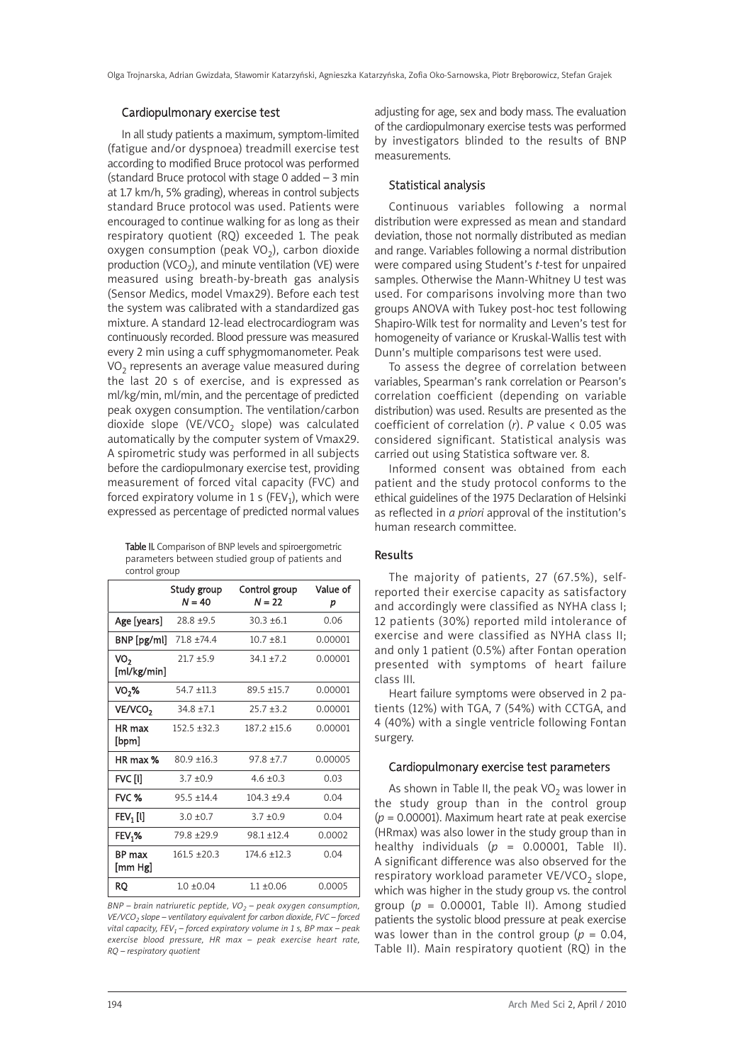## Cardiopulmonary exercise test

In all study patients a maximum, symptom-limited (fatigue and/or dyspnoea) treadmill exercise test according to modified Bruce protocol was performed (standard Bruce protocol with stage 0 added – 3 min at 1.7 km/h, 5% grading), whereas in control subjects standard Bruce protocol was used. Patients were encouraged to continue walking for as long as their respiratory quotient (RQ) exceeded 1. The peak oxygen consumption (peak  $VO<sub>2</sub>$ ), carbon dioxide production (VCO<sub>2</sub>), and minute ventilation (VE) were measured using breath-by-breath gas analysis (Sensor Medics, model Vmax29). Before each test the system was calibrated with a standardized gas mixture. A standard 12-lead electrocardiogram was continuously recorded. Blood pressure was measured every 2 min using a cuff sphygmomanometer. Peak  $VO<sub>2</sub>$  represents an average value measured during the last 20 s of exercise, and is expressed as ml/kg/min, ml/min, and the percentage of predicted peak oxygen consumption. The ventilation/carbon dioxide slope (VE/VCO<sub>2</sub> slope) was calculated automatically by the computer system of Vmax29. A spirometric study was performed in all subjects before the cardiopulmonary exercise test, providing measurement of forced vital capacity (FVC) and forced expiratory volume in 1 s (FEV<sub>1</sub>), which were expressed as percentage of predicted normal values

Table II. Comparison of BNP levels and spiroergometric parameters between studied group of patients and control group

|                                | Study group<br>$N = 40$ | Control group<br>$N = 22$ | Value of<br>р |
|--------------------------------|-------------------------|---------------------------|---------------|
| Age [years]                    | $28.8 + 9.5$            | $30.3 + 6.1$              | 0.06          |
| BNP [pg/ml]                    | $71.8 + 74.4$           | $10.7 + 8.1$              | 0.00001       |
| VO <sub>2</sub><br>[ml/kg/min] | $21.7 + 5.9$            | $34.1 + 7.2$              | 0.00001       |
| VO <sub>2</sub> %              | $54.7 + 11.3$           | $89.5 + 15.7$             | 0.00001       |
| VE/VCO <sub>2</sub>            | $34.8 + 7.1$            | $25.7 + 3.2$              | 0.00001       |
| HR max<br>[bpm]                | $152.5 \pm 32.3$        | $187.2 + 15.6$            | 0.00001       |
| HR max %                       | $80.9 + 16.3$           | $97.8 + 7.7$              | 0.00005       |
| FVC [l]                        | $3.7 + 0.9$             | $4.6 \pm 0.3$             | 0.03          |
| FVC %                          | $95.5 \pm 14.4$         | $104.3 + 9.4$             | 0.04          |
| $FEV1$ [l]                     | $3.0 + 0.7$             | $3.7 + 0.9$               | 0.04          |
| FEV <sub>1</sub> %             | $79.8 + 29.9$           | $98.1 + 12.4$             | 0.0002        |
| <b>BP</b> max<br>[mm Hg]       | $161.5 + 20.3$          | $174.6 + 12.3$            | 0.04          |
| RQ                             | $1.0 \pm 0.04$          | $1.1 + 0.06$              | 0.0005        |

*BNP – brain natriuretic peptide, VO<sub>2</sub> – peak oxygen consumption, VE/VCO2 slope – ventilatory equivalent for carbon dioxide, FVC – forced vital capacity, FEV1 – forced expiratory volume in 1 s, BP max – peak exercise blood pressure, HR max – peak exercise heart rate, RQ – respiratory quotient*

adjusting for age, sex and body mass. The evaluation of the cardiopulmonary exercise tests was performed by investigators blinded to the results of BNP measurements.

# Statistical analysis

Continuous variables following a normal distribution were expressed as mean and standard deviation, those not normally distributed as median and range. Variables following a normal distribution were compared using Student's *t*-test for unpaired samples. Otherwise the Mann-Whitney U test was used. For comparisons involving more than two groups ANOVA with Tukey post-hoc test following Shapiro-Wilk test for normality and Leven's test for homogeneity of variance or Kruskal-Wallis test with Dunn's multiple comparisons test were used.

To assess the degree of correlation between variables, Spearman's rank correlation or Pearson's correlation coefficient (depending on variable distribution) was used. Results are presented as the coefficient of correlation (*r*). *P* value < 0.05 was considered significant. Statistical analysis was carried out using Statistica software ver. 8.

Informed consent was obtained from each patient and the study protocol conforms to the ethical guidelines of the 1975 Declaration of Helsinki as reflected in *a priori* approval of the institution's human research committee.

### Results

The majority of patients, 27 (67.5%), selfreported their exercise capacity as satisfactory and accordingly were classified as NYHA class I; 12 patients (30%) reported mild intolerance of exercise and were classified as NYHA class II; and only 1 patient (0.5%) after Fontan operation presented with symptoms of heart failure class III.

Heart failure symptoms were observed in 2 patients (12%) with TGA, 7 (54%) with CCTGA, and 4 (40%) with a single ventricle following Fontan surgery.

#### Cardiopulmonary exercise test parameters

As shown in Table II, the peak  $VO<sub>2</sub>$  was lower in the study group than in the control group (*p* = 0.00001). Maximum heart rate at peak exercise (HRmax) was also lower in the study group than in healthy individuals  $(p = 0.00001,$  Table II). A significant difference was also observed for the respiratory workload parameter  $VE/VCO<sub>2</sub>$  slope, which was higher in the study group vs. the control group ( $p = 0.00001$ , Table II). Among studied patients the systolic blood pressure at peak exercise was lower than in the control group ( $p = 0.04$ , Table II). Main respiratory quotient (RQ) in the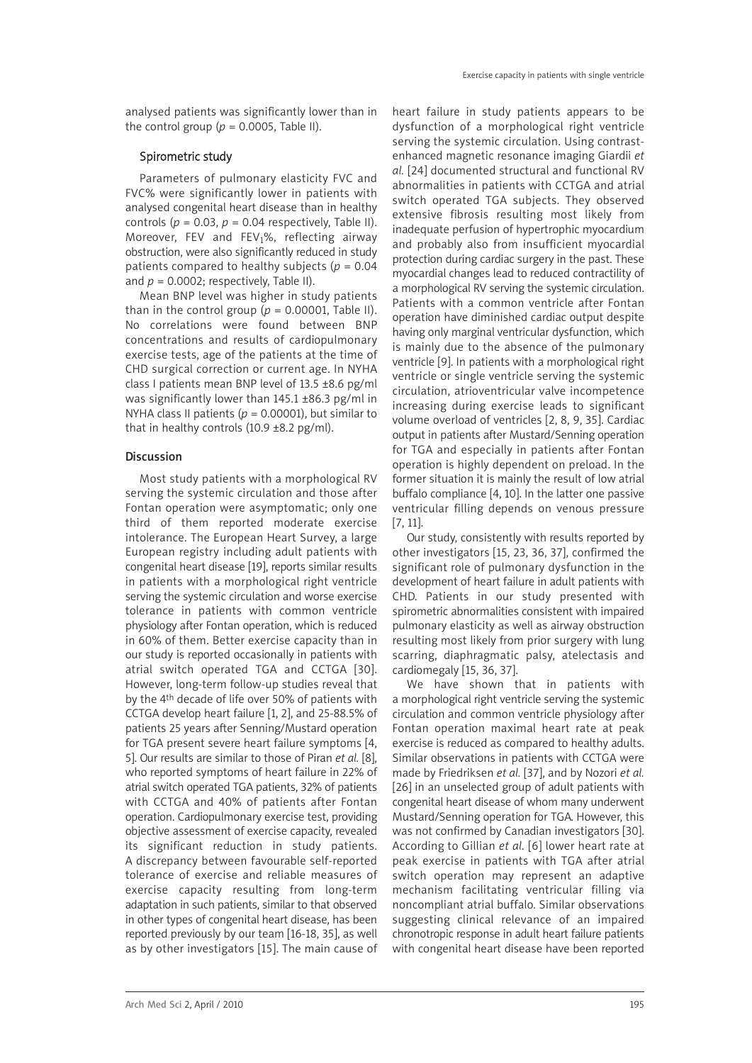analysed patients was significantly lower than in the control group ( $p = 0.0005$ , Table II).

# Spirometric study

Parameters of pulmonary elasticity FVC and FVC% were significantly lower in patients with analysed congenital heart disease than in healthy controls ( $p = 0.03$ ,  $p = 0.04$  respectively, Table II). Moreover, FEV and FEV<sub>1</sub>%, reflecting airway obstruction, were also significantly reduced in study patients compared to healthy subjects (*p* = 0.04 and  $p = 0.0002$ ; respectively. Table II).

Mean BNP level was higher in study patients than in the control group  $(p = 0.00001,$  Table II). No correlations were found between BNP concentrations and results of cardiopulmonary exercise tests, age of the patients at the time of CHD surgical correction or current age. In NYHA class I patients mean BNP level of 13.5 ±8.6 pg/ml was significantly lower than 145.1 ±86.3 pg/ml in NYHA class II patients ( $p = 0.00001$ ), but similar to that in healthy controls (10.9 ±8.2 pg/ml).

# **Discussion**

Most study patients with a morphological RV serving the systemic circulation and those after Fontan operation were asymptomatic; only one third of them reported moderate exercise intolerance. The European Heart Survey, a large European registry including adult patients with congenital heart disease [19], reports similar results in patients with a morphological right ventricle serving the systemic circulation and worse exercise tolerance in patients with common ventricle physiology after Fontan operation, which is reduced in 60% of them. Better exercise capacity than in our study is reported occasionally in patients with atrial switch operated TGA and CCTGA [30]. However, long-term follow-up studies reveal that by the 4th decade of life over 50% of patients with CCTGA develop heart failure [1, 2], and 25-88.5% of patients 25 years after Senning/Mustard operation for TGA present severe heart failure symptoms [4, 5]. Our results are similar to those of Piran *et al.* [8], who reported symptoms of heart failure in 22% of atrial switch operated TGA patients, 32% of patients with CCTGA and 40% of patients after Fontan operation. Cardiopulmonary exercise test, providing objective assessment of exercise capacity, revealed its significant reduction in study patients. A discrepancy between favourable self-reported tolerance of exercise and reliable measures of exercise capacity resulting from long-term adaptation in such patients, similar to that observed in other types of congenital heart disease, has been reported previously by our team [16-18, 35], as well as by other investigators [15]. The main cause of

heart failure in study patients appears to be dysfunction of a morphological right ventricle serving the systemic circulation. Using contrastenhanced magnetic resonance imaging Giardii *et al.* [24] documented structural and functional RV abnormalities in patients with CCTGA and atrial switch operated TGA subjects. They observed extensive fibrosis resulting most likely from inadequate perfusion of hypertrophic myocardium and probably also from insufficient myocardial protection during cardiac surgery in the past. These myocardial changes lead to reduced contractility of a morphological RV serving the systemic circulation. Patients with a common ventricle after Fontan operation have diminished cardiac output despite having only marginal ventricular dysfunction, which is mainly due to the absence of the pulmonary ventricle [9]. In patients with a morphological right ventricle or single ventricle serving the systemic circulation, atrioventricular valve incompetence increasing during exercise leads to significant volume overload of ventricles [2, 8, 9, 35]. Cardiac output in patients after Mustard/Senning operation for TGA and especially in patients after Fontan operation is highly dependent on preload. In the former situation it is mainly the result of low atrial buffalo compliance [4, 10]. In the latter one passive ventricular filling depends on venous pressure [7, 11].

Our study, consistently with results reported by other investigators [15, 23, 36, 37], confirmed the significant role of pulmonary dysfunction in the development of heart failure in adult patients with CHD. Patients in our study presented with spirometric abnormalities consistent with impaired pulmonary elasticity as well as airway obstruction resulting most likely from prior surgery with lung scarring, diaphragmatic palsy, atelectasis and cardiomegaly [15, 36, 37].

We have shown that in patients with a morphological right ventricle serving the systemic circulation and common ventricle physiology after Fontan operation maximal heart rate at peak exercise is reduced as compared to healthy adults. Similar observations in patients with CCTGA were made by Friedriksen *et al.* [37], and by Nozori *et al.* [26] in an unselected group of adult patients with congenital heart disease of whom many underwent Mustard/Senning operation for TGA. However, this was not confirmed by Canadian investigators [30]. According to Gillian *et al.* [6] lower heart rate at peak exercise in patients with TGA after atrial switch operation may represent an adaptive mechanism facilitating ventricular filling via noncompliant atrial buffalo. Similar observations suggesting clinical relevance of an impaired chronotropic response in adult heart failure patients with congenital heart disease have been reported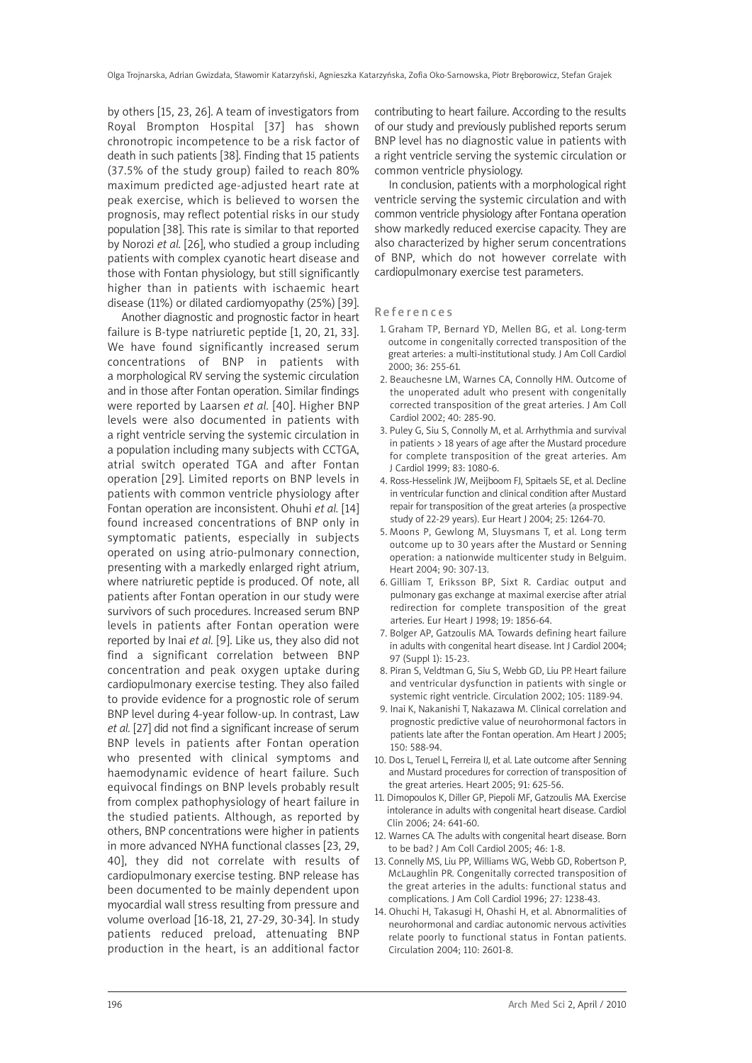by others [15, 23, 26]. A team of investigators from Royal Brompton Hospital [37] has shown chronotropic incompetence to be a risk factor of death in such patients [38]. Finding that 15 patients (37.5% of the study group) failed to reach 80% maximum predicted age-adjusted heart rate at peak exercise, which is believed to worsen the prognosis, may reflect potential risks in our study population [38]. This rate is similar to that reported by Norozi *et al.* [26], who studied a group including patients with complex cyanotic heart disease and those with Fontan physiology, but still significantly higher than in patients with ischaemic heart disease (11%) or dilated cardiomyopathy (25%) [39].

Another diagnostic and prognostic factor in heart failure is B-type natriuretic peptide [1, 20, 21, 33]. We have found significantly increased serum concentrations of BNP in patients with a morphological RV serving the systemic circulation and in those after Fontan operation. Similar findings were reported by Laarsen *et al.* [40]. Higher BNP levels were also documented in patients with a right ventricle serving the systemic circulation in a population including many subjects with CCTGA, atrial switch operated TGA and after Fontan operation [29]. Limited reports on BNP levels in patients with common ventricle physiology after Fontan operation are inconsistent. Ohuhi *et al.* [14] found increased concentrations of BNP only in symptomatic patients, especially in subjects operated on using atrio-pulmonary connection, presenting with a markedly enlarged right atrium, where natriuretic peptide is produced. Of note, all patients after Fontan operation in our study were survivors of such procedures. Increased serum BNP levels in patients after Fontan operation were reported by Inai *et al.* [9]. Like us, they also did not find a significant correlation between BNP concentration and peak oxygen uptake during cardiopulmonary exercise testing. They also failed to provide evidence for a prognostic role of serum BNP level during 4-year follow-up. In contrast, Law *et al.* [27] did not find a significant increase of serum BNP levels in patients after Fontan operation who presented with clinical symptoms and haemodynamic evidence of heart failure. Such equivocal findings on BNP levels probably result from complex pathophysiology of heart failure in the studied patients. Although, as reported by others, BNP concentrations were higher in patients in more advanced NYHA functional classes [23, 29, 40], they did not correlate with results of cardiopulmonary exercise testing. BNP release has been documented to be mainly dependent upon myocardial wall stress resulting from pressure and volume overload [16-18, 21, 27-29, 30-34]. In study patients reduced preload, attenuating BNP production in the heart, is an additional factor

contributing to heart failure. According to the results of our study and previously published reports serum BNP level has no diagnostic value in patients with a right ventricle serving the systemic circulation or common ventricle physiology.

In conclusion, patients with a morphological right ventricle serving the systemic circulation and with common ventricle physiology after Fontana operation show markedly reduced exercise capacity. They are also characterized by higher serum concentrations of BNP, which do not however correlate with cardiopulmonary exercise test parameters.

#### References

- 1. Graham TP, Bernard YD, Mellen BG, et al. Long-term outcome in congenitally corrected transposition of the great arteries: a multi-institutional study. J Am Coll Cardiol 2000; 36: 255-61.
- 2. Beauchesne LM, Warnes CA, Connolly HM. Outcome of the unoperated adult who present with congenitally corrected transposition of the great arteries. J Am Coll Cardiol 2002; 40: 285-90.
- 3. Puley G, Siu S, Connolly M, et al. Arrhythmia and survival in patients > 18 years of age after the Mustard procedure for complete transposition of the great arteries. Am J Cardiol 1999; 83: 1080-6.
- 4. Ross-Hesselink JW, Meijboom FJ, Spitaels SE, et al. Decline in ventricular function and clinical condition after Mustard repair for transposition of the great arteries (a prospective study of 22-29 years). Eur Heart J 2004; 25: 1264-70.
- 5. Moons P, Gewlong M, Sluysmans T, et al. Long term outcome up to 30 years after the Mustard or Senning operation: a nationwide multicenter study in Belguim. Heart 2004; 90: 307-13.
- 6. Gilliam T, Eriksson BP, Sixt R. Cardiac output and pulmonary gas exchange at maximal exercise after atrial redirection for complete transposition of the great arteries. Eur Heart J 1998; 19: 1856-64.
- 7. Bolger AP, Gatzoulis MA. Towards defining heart failure in adults with congenital heart disease. Int J Cardiol 2004; 97 (Suppl 1): 15-23.
- 8. Piran S, Veldtman G, Siu S, Webb GD, Liu PP. Heart failure and ventricular dysfunction in patients with single or systemic right ventricle. Circulation 2002; 105: 1189-94.
- 9. Inai K, Nakanishi T, Nakazawa M. Clinical correlation and prognostic predictive value of neurohormonal factors in patients late after the Fontan operation. Am Heart J 2005; 150: 588-94.
- 10. Dos L, Teruel L, Ferreira IJ, et al. Late outcome after Senning and Mustard procedures for correction of transposition of the great arteries. Heart 2005; 91: 625-56.
- 11. Dimopoulos K, Diller GP, Piepoli MF, Gatzoulis MA. Exercise intolerance in adults with congenital heart disease. Cardiol Clin 2006; 24: 641-60.
- 12. Warnes CA. The adults with congenital heart disease. Born to be bad? J Am Coll Cardiol 2005; 46: 1-8.
- 13. Connelly MS, Liu PP, Williams WG, Webb GD, Robertson P, McLaughlin PR. Congenitally corrected transposition of the great arteries in the adults: functional status and complications. J Am Coll Cardiol 1996; 27: 1238-43.
- 14. Ohuchi H, Takasugi H, Ohashi H, et al. Abnormalities of neurohormonal and cardiac autonomic nervous activities relate poorly to functional status in Fontan patients. Circulation 2004; 110: 2601-8.